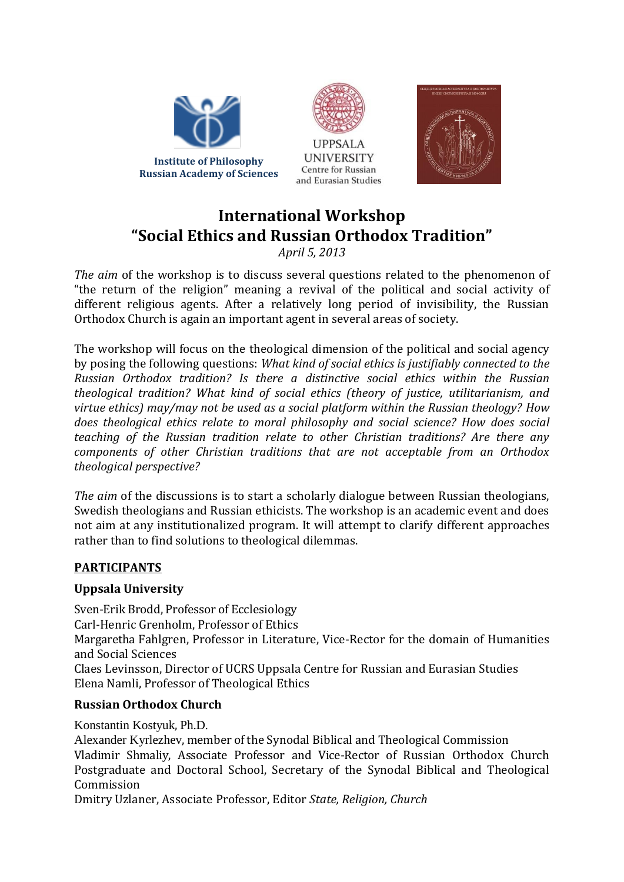



**UNIVERSITY** Centre for Russian and Eurasian Studies



# **International Workshop "Social Ethics and Russian Orthodox Tradition"**

*April 5, 2013*

*The aim* of the workshop is to discuss several questions related to the phenomenon of "the return of the religion" meaning a revival of the political and social activity of different religious agents. After a relatively long period of invisibility, the Russian Orthodox Church is again an important agent in several areas of society.

The workshop will focus on the theological dimension of the political and social agency by posing the following questions: *What kind of social ethics is justifiably connected to the Russian Orthodox tradition? Is there a distinctive social ethics within the Russian theological tradition? What kind of social ethics (theory of justice, utilitarianism, and virtue ethics) may/may not be used as a social platform within the Russian theology? How does theological ethics relate to moral philosophy and social science? How does social teaching of the Russian tradition relate to other Christian traditions? Are there any components of other Christian traditions that are not acceptable from an Orthodox theological perspective?*

*The aim* of the discussions is to start a scholarly dialogue between Russian theologians, Swedish theologians and Russian ethicists. The workshop is an academic event and does not aim at any institutionalized program. It will attempt to clarify different approaches rather than to find solutions to theological dilemmas.

# **PARTICIPANTS**

## **Uppsala University**

Sven-Erik Brodd, Professor of Ecclesiology Carl-Henric Grenholm, Professor of Ethics Margaretha Fahlgren, Professor in Literature, Vice-Rector for the domain of Humanities and Social Sciences Claes Levinsson, Director of UCRS Uppsala Centre for Russian and Eurasian Studies Elena Namli, Professor of Theological Ethics

# **Russian Orthodox Church**

Konstantin Kostyuk, Ph.D.

Alexander Kyrlezhev, member of the Synodal Biblical and Theological Commission Vladimir Shmaliy, Associate Professor and Vice-Rector of Russian Orthodox Church Postgraduate and Doctoral School, Secretary of the Synodal Biblical and Theological Commission

Dmitry Uzlaner, Associate Professor, Editor *State, Religion, Church*